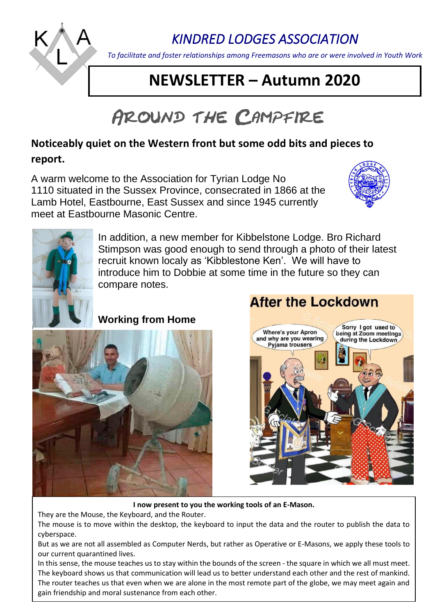

# *KINDRED LODGES ASSOCIATION*

*To facilitate and foster relationships among Freemasons who are or were involved in Youth Work*

# **NEWSLETTER – Autumn 2020**

# AROUND THE CAMPFIRE

## **Noticeably quiet on the Western front but some odd bits and pieces to report.**

A warm welcome to the Association for Tyrian Lodge No 1110 situated in the Sussex Province, consecrated in 1866 at the Lamb Hotel, Eastbourne, East Sussex and since 1945 currently meet at Eastbourne Masonic Centre.





In addition, a new member for Kibbelstone Lodge. Bro Richard Stimpson was good enough to send through a photo of their latest recruit known localy as 'Kibblestone Ken'. We will have to introduce him to Dobbie at some time in the future so they can compare notes.

## **Working from Home**



## **After the Lockdown**



#### **I now present to you the working tools of an E-Mason.**

They are the Mouse, the Keyboard, and the Router.

The mouse is to move within the desktop, the keyboard to input the data and the router to publish the data to cyberspace.

But as we are not all assembled as Computer Nerds, but rather as Operative or E-Masons, we apply these tools to our current quarantined lives.

In this sense, the mouse teaches us to stay within the bounds of the screen - the square in which we all must meet. The keyboard shows us that communication will lead us to better understand each other and the rest of mankind. The router teaches us that even when we are alone in the most remote part of the globe, we may meet again and gain friendship and moral sustenance from each other.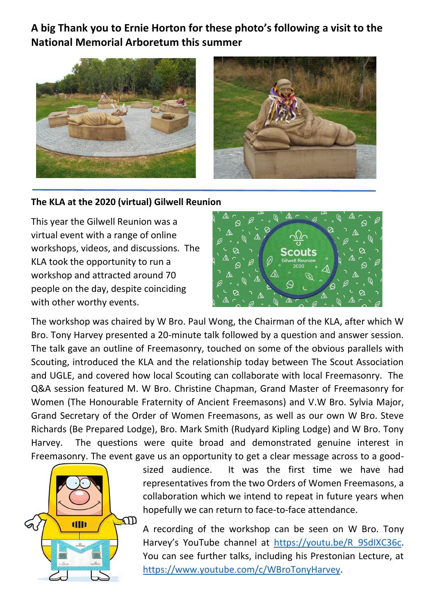**A big Thank you to Ernie Horton for these photo's following a visit to the National Memorial Arboretum this summer**



#### **The KLA at the 2020 (virtual) Gilwell Reunion**

This year the Gilwell Reunion was a virtual event with a range of online workshops, videos, and discussions. The KLA took the opportunity to run a workshop and attracted around 70 people on the day, despite coinciding with other worthy events.



The workshop was chaired by W Bro. Paul Wong, the Chairman of the KLA, after which W Bro. Tony Harvey presented a 20-minute talk followed by a question and answer session. The talk gave an outline of Freemasonry, touched on some of the obvious parallels with Scouting, introduced the KLA and the relationship today between The Scout Association and UGLE, and covered how local Scouting can collaborate with local Freemasonry. The Q&A session featured M. W Bro. Christine Chapman, Grand Master of Freemasonry for Women (The Honourable Fraternity of Ancient Freemasons) and V.W Bro. Sylvia Major, Grand Secretary of the Order of Women Freemasons, as well as our own W Bro. Steve Richards (Be Prepared Lodge), Bro. Mark Smith (Rudyard Kipling Lodge) and W Bro. Tony Harvey. The questions were quite broad and demonstrated genuine interest in Freemasonry. The event gave us an opportunity to get a clear message across to a good-



sized audience. It was the first time we have had representatives from the two Orders of Women Freemasons, a collaboration which we intend to repeat in future years when hopefully we can return to face-to-face attendance.

A recording of the workshop can be seen on W Bro. Tony Harvey's YouTube channel at [https://youtu.be/R\\_9SdIXC36c.](https://youtu.be/R_9SdIXC36c) You can see further talks, including his Prestonian Lecture, at [https://www.youtube.com/c/WBroTonyHarvey.](https://www.youtube.com/c/WBroTonyHarvey)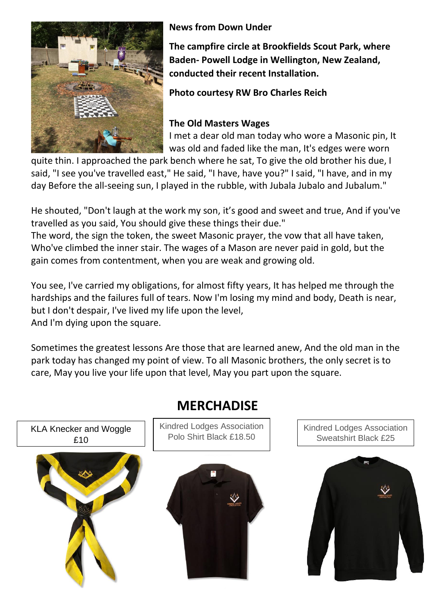

**News from Down Under**

**The campfire circle at Brookfields Scout Park, where Baden- Powell Lodge in Wellington, New Zealand, conducted their recent Installation.** 

**Photo courtesy RW Bro Charles Reich**

### **The Old Masters Wages**

I met a dear old man today who wore a Masonic pin, It was old and faded like the man, It's edges were worn

quite thin. I approached the park bench where he sat, To give the old brother his due, I said, "I see you've travelled east," He said, "I have, have you?" I said, "I have, and in my day Before the all-seeing sun, I played in the rubble, with Jubala Jubalo and Jubalum."

He shouted, "Don't laugh at the work my son, it's good and sweet and true, And if you've travelled as you said, You should give these things their due."

The word, the sign the token, the sweet Masonic prayer, the vow that all have taken, Who've climbed the inner stair. The wages of a Mason are never paid in gold, but the gain comes from contentment, when you are weak and growing old.

You see, I've carried my obligations, for almost fifty years, It has helped me through the hardships and the failures full of tears. Now I'm losing my mind and body, Death is near, but I don't despair, I've lived my life upon the level, And I'm dying upon the square.

Sometimes the greatest lessons Are those that are learned anew, And the old man in the park today has changed my point of view. To all Masonic brothers, the only secret is to care, May you live your life upon that level, May you part upon the square.



## **MERCHADISE**